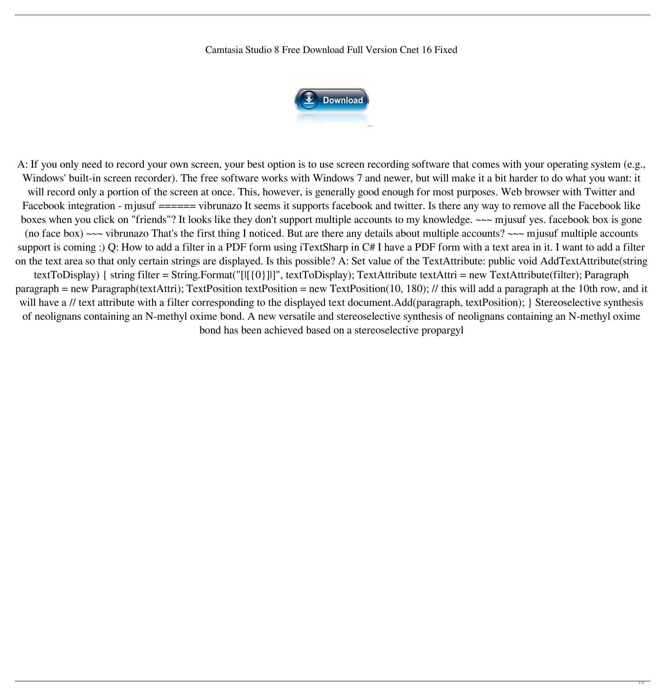Camtasia Studio 8 Free Download Full Version Cnet 16 Fixed

A: If you only need to record your own screen, your best option is to use screen recording software that comes with your operating system (e.g., Windows' built-in screen recorder). The free software works with Windows 7 and newer, but will make it a bit harder to do what you want: it will record only a portion of the screen at once. This, however, is generally good enough for most purposes. Web browser with Twitter and Facebook integration - mjusuf ====== vibrunazo It seems it supports facebook and twitter. Is there any way to remove all the Facebook like boxes when you click on "friends"? It looks like they don't support multiple accounts to my knowledge. ~~~ mjusuf yes. facebook box is gone (no face box)  $\sim\sim$  vibrunazo That's the first thing I noticed. But are there any details about multiple accounts?  $\sim\sim$  mjusuf multiple accounts support is coming :) Q: How to add a filter in a PDF form using iTextSharp in C# I have a PDF form with a text area in it. I want to add a filter on the text area so that only certain strings are displayed. Is this possible? A: Set value of the TextAttribute: public void AddTextAttribute(string textToDisplay) { string filter = String.Format("[|[{0}]|]", textToDisplay); TextAttribute textAttri = new TextAttribute(filter); Paragraph paragraph = new Paragraph(textAttri); TextPosition textPosition = new TextPosition(10, 180); // this will add a paragraph at the 10th row, and it will have a // text attribute with a filter corresponding to the displayed text document.Add(paragraph, textPosition); } Stereoselective synthesis



of neolignans containing an N-methyl oxime bond. A new versatile and stereoselective synthesis of neolignans containing an N-methyl oxime bond has been achieved based on a stereoselective propargyl